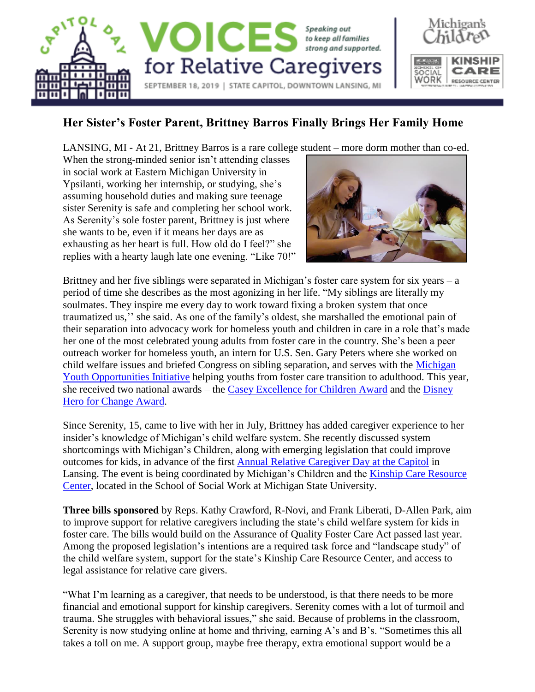

## **Her Sister's Foster Parent, Brittney Barros Finally Brings Her Family Home**

LANSING, MI - At 21, Brittney Barros is a rare college student – more dorm mother than co-ed.

When the strong-minded senior isn't attending classes in social work at Eastern Michigan University in Ypsilanti, working her internship, or studying, she's assuming household duties and making sure teenage sister Serenity is safe and completing her school work. As Serenity's sole foster parent, Brittney is just where she wants to be, even if it means her days are as exhausting as her heart is full. How old do I feel?" she replies with a hearty laugh late one evening. "Like 70!"



Michigan's

Brittney and her five siblings were separated in Michigan's foster care system for six years – a period of time she describes as the most agonizing in her life. "My siblings are literally my soulmates. They inspire me every day to work toward fixing a broken system that once traumatized us,'' she said. As one of the family's oldest, she marshalled the emotional pain of their separation into advocacy work for homeless youth and children in care in a role that's made her one of the most celebrated young adults from foster care in the country. She's been a peer outreach worker for homeless youth, an intern for U.S. Sen. Gary Peters where she worked on child welfare issues and briefed Congress on sibling separation, and serves with the [Michigan](https://www.michigan.gov/fyit/0,4585,7-240-44524-162619--,00.html)  [Youth Opportunities Initiative](https://www.michigan.gov/fyit/0,4585,7-240-44524-162619--,00.html) helping youths from foster care transition to adulthood. This year, she received two national awards – the [Casey Excellence for Children Award](https://www.fosterclub.com/blog/announcements/fosterclub-young-leader-brittney-barros-receives-2019-casey-excellence-children) and the [Disney](https://www.mlive.com/news/ann-arbor/2019/06/ypsilanti-native-to-be-honored-on-disney-channel-for-foster-care-improvement-work.html)  [Hero for Change Award.](https://www.mlive.com/news/ann-arbor/2019/06/ypsilanti-native-to-be-honored-on-disney-channel-for-foster-care-improvement-work.html)

Since Serenity, 15, came to live with her in July, Brittney has added caregiver experience to her insider's knowledge of Michigan's child welfare system. She recently discussed system shortcomings with Michigan's Children, along with emerging legislation that could improve outcomes for kids, in advance of the first [Annual Relative Caregiver Day](https://www.michiganschildren.org/resources/learning-from-youth-and-families/#RelativeCaregiverDay) at the Capitol in Lansing. The event is being coordinated by Michigan's Children and the Kinship Care Resource [Center,](https://kinship.msu.edu/Caregivers/Legal-Issues) located in the School of Social Work at Michigan State University.

**Three bills sponsored** by Reps. Kathy Crawford, R-Novi, and Frank Liberati, D-Allen Park, aim to improve support for relative caregivers including the state's child welfare system for kids in foster care. The bills would build on the Assurance of Quality Foster Care Act passed last year. Among the proposed legislation's intentions are a required task force and "landscape study" of the child welfare system, support for the state's Kinship Care Resource Center, and access to legal assistance for relative care givers.

"What I'm learning as a caregiver, that needs to be understood, is that there needs to be more financial and emotional support for kinship caregivers. Serenity comes with a lot of turmoil and trauma. She struggles with behavioral issues," she said. Because of problems in the classroom, Serenity is now studying online at home and thriving, earning A's and B's. "Sometimes this all takes a toll on me. A support group, maybe free therapy, extra emotional support would be a